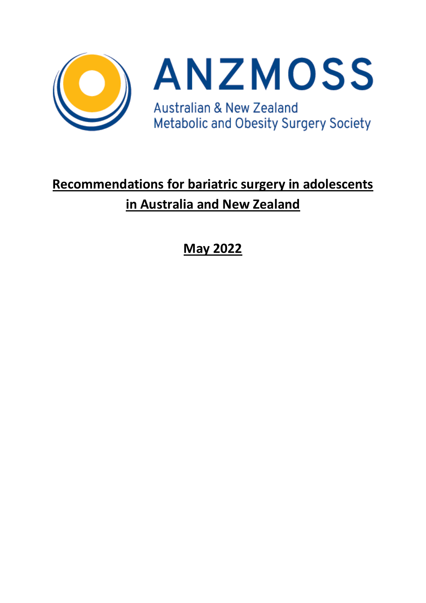



# **Recommendations for bariatric surgery in adolescents in Australia and New Zealand**

**May 2022**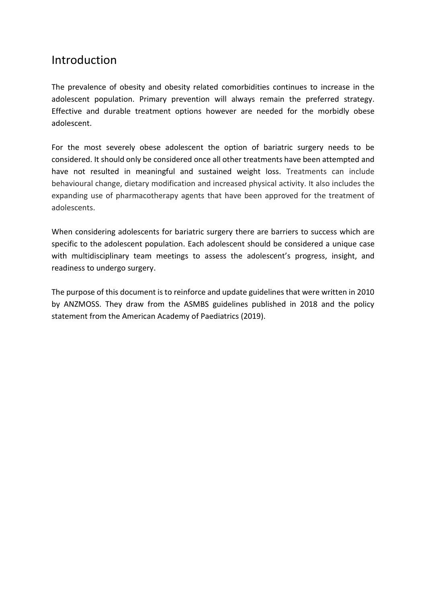## Introduction

The prevalence of obesity and obesity related comorbidities continues to increase in the adolescent population. Primary prevention will always remain the preferred strategy. Effective and durable treatment options however are needed for the morbidly obese adolescent.

For the most severely obese adolescent the option of bariatric surgery needs to be considered. It should only be considered once all other treatments have been attempted and have not resulted in meaningful and sustained weight loss. Treatments can include behavioural change, dietary modification and increased physical activity. It also includes the expanding use of pharmacotherapy agents that have been approved for the treatment of adolescents.

When considering adolescents for bariatric surgery there are barriers to success which are specific to the adolescent population. Each adolescent should be considered a unique case with multidisciplinary team meetings to assess the adolescent's progress, insight, and readiness to undergo surgery.

The purpose of this document is to reinforce and update guidelines that were written in 2010 by ANZMOSS. They draw from the ASMBS guidelines published in 2018 and the policy statement from the American Academy of Paediatrics (2019).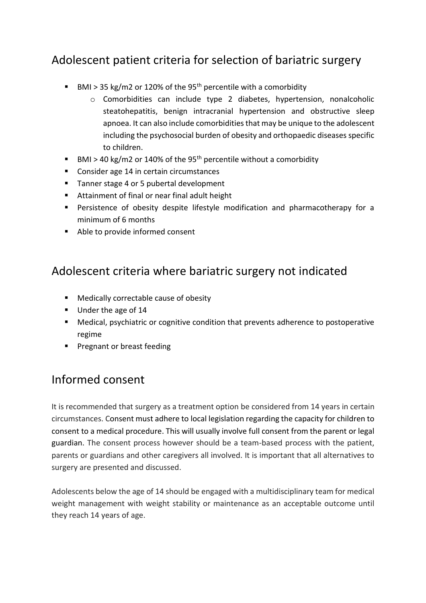## Adolescent patient criteria for selection of bariatric surgery

- BMI > 35 kg/m2 or 120% of the 95<sup>th</sup> percentile with a comorbidity
	- o Comorbidities can include type 2 diabetes, hypertension, nonalcoholic steatohepatitis, benign intracranial hypertension and obstructive sleep apnoea. It can also include comorbidities that may be unique to the adolescent including the psychosocial burden of obesity and orthopaedic diseases specific to children.
- BMI > 40 kg/m2 or 140% of the 95<sup>th</sup> percentile without a comorbidity
- Consider age 14 in certain circumstances
- Tanner stage 4 or 5 pubertal development
- Attainment of final or near final adult height
- Persistence of obesity despite lifestyle modification and pharmacotherapy for a minimum of 6 months
- Able to provide informed consent

## Adolescent criteria where bariatric surgery not indicated

- Medically correctable cause of obesity
- Under the age of 14
- Medical, psychiatric or cognitive condition that prevents adherence to postoperative regime
- Pregnant or breast feeding

#### Informed consent

It is recommended that surgery as a treatment option be considered from 14 years in certain circumstances. Consent must adhere to local legislation regarding the capacity for children to consent to a medical procedure. This will usually involve full consent from the parent or legal guardian. The consent process however should be a team-based process with the patient, parents or guardians and other caregivers all involved. It is important that all alternatives to surgery are presented and discussed.

Adolescents below the age of 14 should be engaged with a multidisciplinary team for medical weight management with weight stability or maintenance as an acceptable outcome until they reach 14 years of age.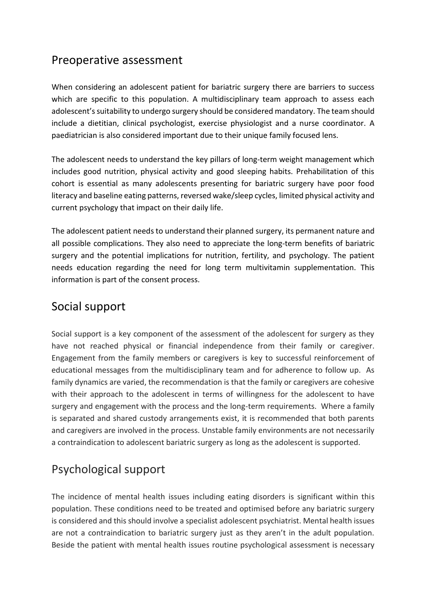## Preoperative assessment

When considering an adolescent patient for bariatric surgery there are barriers to success which are specific to this population. A multidisciplinary team approach to assess each adolescent's suitability to undergo surgery should be considered mandatory. The team should include a dietitian, clinical psychologist, exercise physiologist and a nurse coordinator. A paediatrician is also considered important due to their unique family focused lens.

The adolescent needs to understand the key pillars of long-term weight management which includes good nutrition, physical activity and good sleeping habits. Prehabilitation of this cohort is essential as many adolescents presenting for bariatric surgery have poor food literacy and baseline eating patterns, reversed wake/sleep cycles, limited physical activity and current psychology that impact on their daily life.

The adolescent patient needs to understand their planned surgery, its permanent nature and all possible complications. They also need to appreciate the long-term benefits of bariatric surgery and the potential implications for nutrition, fertility, and psychology. The patient needs education regarding the need for long term multivitamin supplementation. This information is part of the consent process.

#### Social support

Social support is a key component of the assessment of the adolescent for surgery as they have not reached physical or financial independence from their family or caregiver. Engagement from the family members or caregivers is key to successful reinforcement of educational messages from the multidisciplinary team and for adherence to follow up. As family dynamics are varied, the recommendation is that the family or caregivers are cohesive with their approach to the adolescent in terms of willingness for the adolescent to have surgery and engagement with the process and the long-term requirements. Where a family is separated and shared custody arrangements exist, it is recommended that both parents and caregivers are involved in the process. Unstable family environments are not necessarily a contraindication to adolescent bariatric surgery as long as the adolescent is supported.

# Psychological support

The incidence of mental health issues including eating disorders is significant within this population. These conditions need to be treated and optimised before any bariatric surgery is considered and this should involve a specialist adolescent psychiatrist. Mental health issues are not a contraindication to bariatric surgery just as they aren't in the adult population. Beside the patient with mental health issues routine psychological assessment is necessary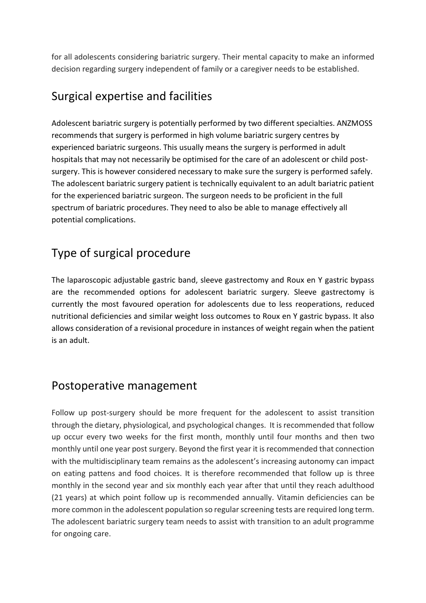for all adolescents considering bariatric surgery. Their mental capacity to make an informed decision regarding surgery independent of family or a caregiver needs to be established.

#### Surgical expertise and facilities

Adolescent bariatric surgery is potentially performed by two different specialties. ANZMOSS recommends that surgery is performed in high volume bariatric surgery centres by experienced bariatric surgeons. This usually means the surgery is performed in adult hospitals that may not necessarily be optimised for the care of an adolescent or child postsurgery. This is however considered necessary to make sure the surgery is performed safely. The adolescent bariatric surgery patient is technically equivalent to an adult bariatric patient for the experienced bariatric surgeon. The surgeon needs to be proficient in the full spectrum of bariatric procedures. They need to also be able to manage effectively all potential complications.

# Type of surgical procedure

The laparoscopic adjustable gastric band, sleeve gastrectomy and Roux en Y gastric bypass are the recommended options for adolescent bariatric surgery. Sleeve gastrectomy is currently the most favoured operation for adolescents due to less reoperations, reduced nutritional deficiencies and similar weight loss outcomes to Roux en Y gastric bypass. It also allows consideration of a revisional procedure in instances of weight regain when the patient is an adult.

#### Postoperative management

Follow up post-surgery should be more frequent for the adolescent to assist transition through the dietary, physiological, and psychological changes. It is recommended that follow up occur every two weeks for the first month, monthly until four months and then two monthly until one year post surgery. Beyond the first year it is recommended that connection with the multidisciplinary team remains as the adolescent's increasing autonomy can impact on eating pattens and food choices. It is therefore recommended that follow up is three monthly in the second year and six monthly each year after that until they reach adulthood (21 years) at which point follow up is recommended annually. Vitamin deficiencies can be more common in the adolescent population so regular screening tests are required long term. The adolescent bariatric surgery team needs to assist with transition to an adult programme for ongoing care.